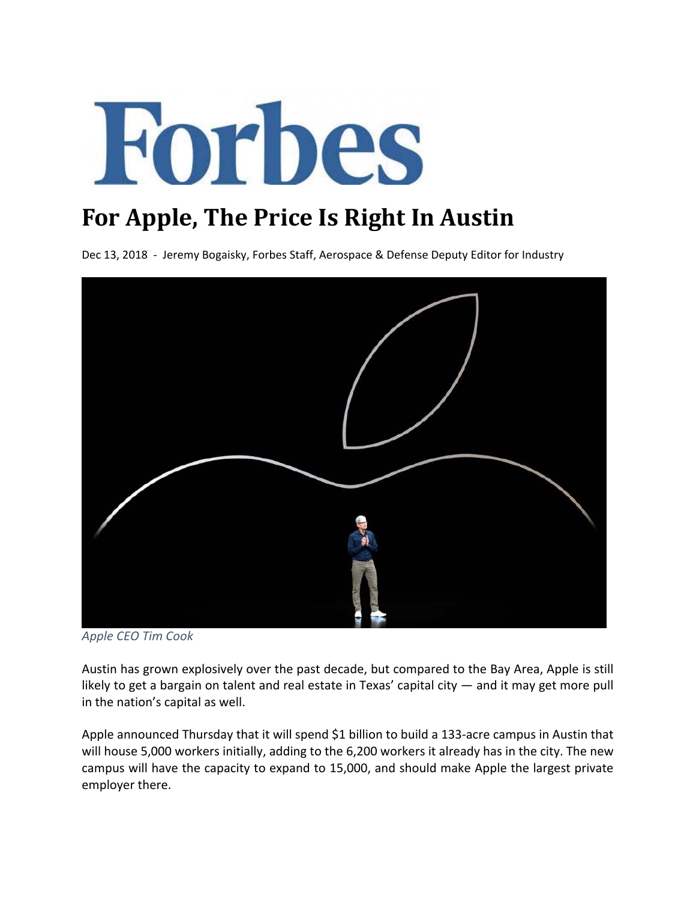

## **For Apple, The Price Is Right In Austin**

Dec 13, 2018 - Jeremy Bogaisky, Forbes Staff, Aerospace & Defense Deputy Editor for Industry



*Apple CEO Tim Cook* 

Austin has grown explosively over the past decade, but compared to the Bay Area, Apple is still likely to get a bargain on talent and real estate in Texas' capital city — and it may get more pull in the nation's capital as well.

Apple announced Thursday that it will spend \$1 billion to build a 133‐acre campus in Austin that will house 5,000 workers initially, adding to the 6,200 workers it already has in the city. The new campus will have the capacity to expand to 15,000, and should make Apple the largest private employer there.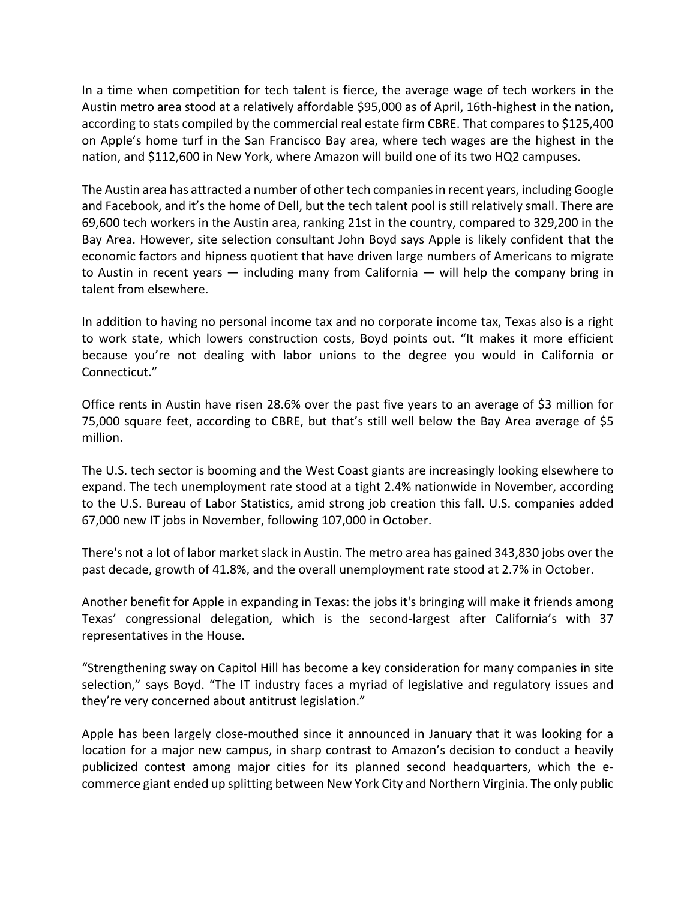In a time when competition for tech talent is fierce, the average wage of tech workers in the Austin metro area stood at a relatively affordable \$95,000 as of April, 16th‐highest in the nation, according to stats compiled by the commercial real estate firm CBRE. That compares to \$125,400 on Apple's home turf in the San Francisco Bay area, where tech wages are the highest in the nation, and \$112,600 in New York, where Amazon will build one of its two HQ2 campuses.

The Austin area has attracted a number of other tech companiesin recent years, including Google and Facebook, and it's the home of Dell, but the tech talent pool is still relatively small. There are 69,600 tech workers in the Austin area, ranking 21st in the country, compared to 329,200 in the Bay Area. However, site selection consultant John Boyd says Apple is likely confident that the economic factors and hipness quotient that have driven large numbers of Americans to migrate to Austin in recent years — including many from California — will help the company bring in talent from elsewhere.

In addition to having no personal income tax and no corporate income tax, Texas also is a right to work state, which lowers construction costs, Boyd points out. "It makes it more efficient because you're not dealing with labor unions to the degree you would in California or Connecticut."

Office rents in Austin have risen 28.6% over the past five years to an average of \$3 million for 75,000 square feet, according to CBRE, but that's still well below the Bay Area average of \$5 million.

The U.S. tech sector is booming and the West Coast giants are increasingly looking elsewhere to expand. The tech unemployment rate stood at a tight 2.4% nationwide in November, according to the U.S. Bureau of Labor Statistics, amid strong job creation this fall. U.S. companies added 67,000 new IT jobs in November, following 107,000 in October.

There's not a lot of labor market slack in Austin. The metro area has gained 343,830 jobs over the past decade, growth of 41.8%, and the overall unemployment rate stood at 2.7% in October.

Another benefit for Apple in expanding in Texas: the jobs it's bringing will make it friends among Texas' congressional delegation, which is the second‐largest after California's with 37 representatives in the House.

"Strengthening sway on Capitol Hill has become a key consideration for many companies in site selection," says Boyd. "The IT industry faces a myriad of legislative and regulatory issues and they're very concerned about antitrust legislation."

Apple has been largely close‐mouthed since it announced in January that it was looking for a location for a major new campus, in sharp contrast to Amazon's decision to conduct a heavily publicized contest among major cities for its planned second headquarters, which the e‐ commerce giant ended up splitting between New York City and Northern Virginia. The only public